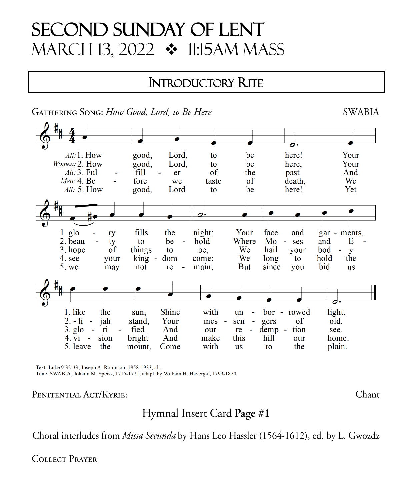# **SECOND SUNDAY OF LENT** MARCH 13, 2022 ❖ 11:15AM MASS

### **INTRODUCTORY RITE**



Text: Luke 9:32-33; Joseph A. Robinson, 1858-1933, alt. Tune: SWABIA; Johann M. Speiss, 1715-1771; adapt. by William H. Havergal, 1793-1870

#### PENITENTIAL ACT/KYRIE:

Hymnal Insert Card Page #1

Choral interludes from Missa Secunda by Hans Leo Hassler (1564-1612), ed. by L. Gwozdz

**COLLECT PRAYER** 

### **SWABIA**

Chant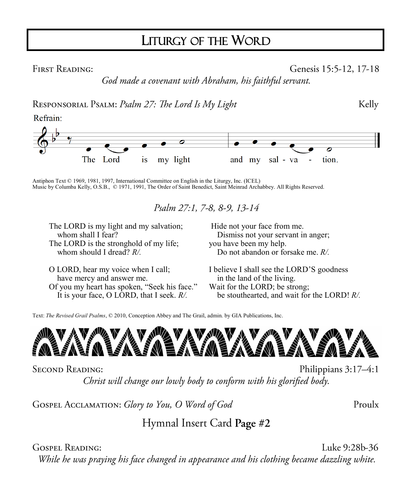# LITURGY OF THE WORD

**FIRST READING:** 

Genesis 15:5-12, 17-18

Kelly

God made a covenant with Abraham, his faithful servant.

RESPONSORIAL PSALM: Psalm 27: The Lord Is My Light

Refrain:



Antiphon Text © 1969, 1981, 1997, International Committee on English in the Liturgy, Inc. (ICEL) Music by Columba Kelly, O.S.B., © 1971, 1991, The Order of Saint Benedict, Saint Meinrad Archabbey. All Rights Reserved.

Psalm 27:1, 7-8, 8-9, 13-14

The LORD is my light and my salvation; whom shall I fear? The LORD is the stronghold of my life; whom should I dread? *R/.*

O LORD, hear my voice when I call; have mercy and answer me. Of you my heart has spoken, "Seek his face." It is your face, O LORD, that I seek. *R/.*

Hide not your face from me. Dismiss not your servant in anger; you have been my help. Do not abandon or forsake me. *R/.*

I believe I shall see the LORD'S goodness in the land of the living. Wait for the LORD; be strong; be stouthearted, and wait for the LORD! *R/.*

Text: *The Revised Grail Psalms*, © 2010, Conception Abbey and The Grail, admin. by GIA Publications, Inc.



**SECOND READING:** 

Philippians 3:17-4:1 Christ will change our lowly body to conform with his glorified body.

GOSPEL ACCLAMATION: Glory to You, O Word of God

Proulx

Hymnal Insert Card Page #2

**GOSPEL READING:** 

Luke 9:28b-36

While he was praying his face changed in appearance and his clothing became dazzling white.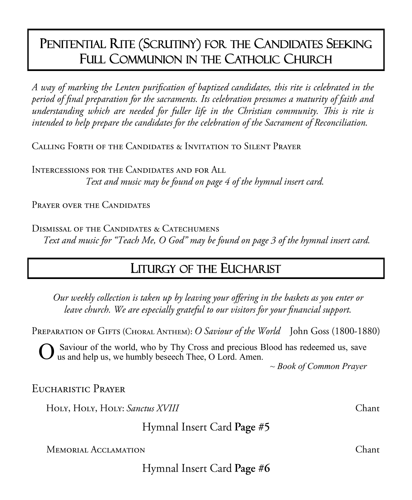# PENITENTIAL RITE (SCRUTINY) FOR THE CANDIDATES SEEKING FULL COMMUNION IN THE CATHOLIC CHURCH

A way of marking the Lenten purification of baptized candidates, this rite is celebrated in the period of final preparation for the sacraments. Its celebration presumes a maturity of faith and understanding which are needed for fuller life in the Christian community. This is rite is intended to help prepare the candidates for the celebration of the Sacrament of Reconciliation.

CALLING FORTH OF THE CANDIDATES & INVITATION TO SILENT PRAYER

INTERCESSIONS FOR THE CANDIDATES AND FOR ALL Text and music may be found on page 4 of the hymnal insert card.

PRAYER OVER THE CANDIDATES

DISMISSAL OF THE CANDIDATES & CATECHUMENS Text and music for "Teach Me, O God" may be found on page 3 of the hymnal insert card.

# **LITURGY OF THE EUCHARIST**

Our weekly collection is taken up by leaving your offering in the baskets as you enter or leave church. We are especially grateful to our visitors for your financial support.

PREPARATION OF GIFTS (CHORAL ANTHEM): O Saviour of the World John Goss (1800-1880)

Saviour of the world, who by Thy Cross and precious Blood has redeemed us, save us and help us, we humbly beseech Thee, O Lord. Amen.

 $\sim$  Book of Common Prayer

EUCHARISTIC PRAYER

HOLY, HOLY, HOLY: Sanctus XVIII

Hymnal Insert Card Page #5

**MEMORIAL ACCLAMATION** 

Hymnal Insert Card Page #6

Chant

Chant